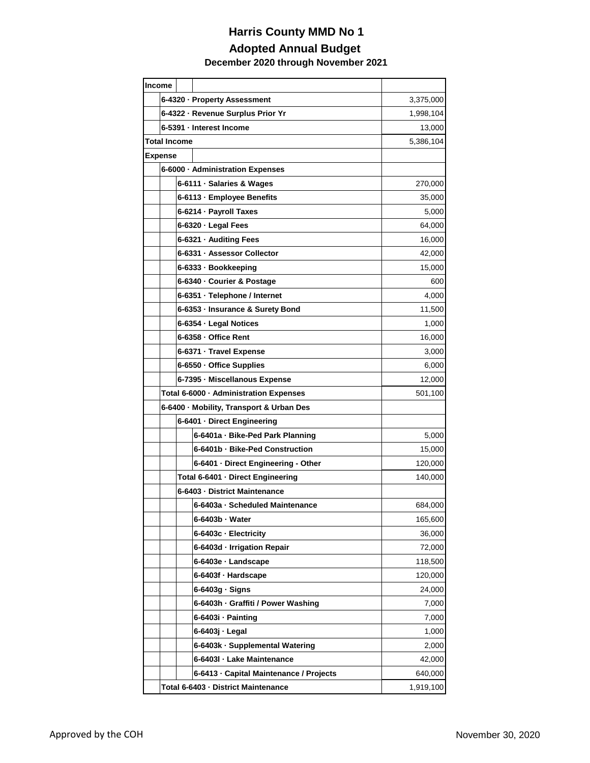## **Harris County MMD No 1 Adopted Annual Budget December 2020 through November 2021**

| Income              |                                   |                                          |                                         |           |  |
|---------------------|-----------------------------------|------------------------------------------|-----------------------------------------|-----------|--|
|                     |                                   |                                          | 6-4320 · Property Assessment            | 3,375,000 |  |
|                     |                                   | 6-4322 · Revenue Surplus Prior Yr        | 1,998,104                               |           |  |
|                     | 6-5391 - Interest Income          | 13,000                                   |                                         |           |  |
| <b>Total Income</b> |                                   | 5,386,104                                |                                         |           |  |
| <b>Expense</b>      |                                   |                                          |                                         |           |  |
|                     |                                   | 6-6000 · Administration Expenses         |                                         |           |  |
|                     |                                   |                                          | 6-6111 · Salaries & Wages               | 270,000   |  |
|                     |                                   |                                          | 6-6113 · Employee Benefits              | 35,000    |  |
|                     |                                   |                                          | 6-6214 · Payroll Taxes                  | 5,000     |  |
|                     |                                   |                                          | 6-6320 · Legal Fees                     | 64,000    |  |
|                     |                                   | 6-6321 · Auditing Fees                   | 16,000                                  |           |  |
|                     |                                   |                                          | 6-6331 · Assessor Collector             | 42,000    |  |
|                     |                                   |                                          | 6-6333 · Bookkeeping                    | 15,000    |  |
|                     |                                   |                                          | 6-6340 · Courier & Postage              | 600       |  |
|                     |                                   |                                          | 6-6351 · Telephone / Internet           | 4,000     |  |
|                     |                                   | 6-6353 · Insurance & Surety Bond         |                                         | 11,500    |  |
|                     |                                   |                                          | 6-6354 · Legal Notices                  | 1,000     |  |
|                     |                                   | 6-6358 - Office Rent                     |                                         | 16,000    |  |
|                     |                                   | 6-6371 · Travel Expense                  | 3,000                                   |           |  |
|                     |                                   | 6-6550 · Office Supplies                 |                                         | 6,000     |  |
|                     |                                   | 6-7395 - Miscellanous Expense            |                                         | 12,000    |  |
|                     |                                   | Total 6-6000 · Administration Expenses   | 501,100                                 |           |  |
|                     |                                   | 6-6400 · Mobility, Transport & Urban Des |                                         |           |  |
|                     |                                   |                                          | 6-6401 · Direct Engineering             |           |  |
|                     |                                   |                                          | 6-6401a · Bike-Ped Park Planning        | 5,000     |  |
|                     |                                   |                                          | 6-6401b - Bike-Ped Construction         | 15,000    |  |
|                     |                                   |                                          | 6-6401 · Direct Engineering - Other     | 120,000   |  |
|                     | Total 6-6401 · Direct Engineering |                                          |                                         | 140,000   |  |
|                     | 6-6403 - District Maintenance     |                                          |                                         |           |  |
|                     |                                   |                                          | 6-6403a - Scheduled Maintenance         | 684,000   |  |
|                     |                                   |                                          | 6-6403b - Water                         | 165,600   |  |
|                     |                                   |                                          | 6-6403c - Electricity                   | 36,000    |  |
|                     |                                   |                                          | 6-6403d - Irrigation Repair             | 72,000    |  |
|                     |                                   |                                          | 6-6403e · Landscape                     | 118,500   |  |
|                     |                                   |                                          | 6-6403f · Hardscape                     | 120,000   |  |
|                     |                                   |                                          | 6-6403g · Signs                         | 24,000    |  |
|                     |                                   |                                          | 6-6403h · Graffiti / Power Washing      | 7,000     |  |
|                     |                                   |                                          | 6-6403i · Painting                      | 7,000     |  |
|                     |                                   |                                          | 6-6403j - Legal                         | 1,000     |  |
|                     |                                   |                                          | 6-6403k - Supplemental Watering         | 2,000     |  |
|                     |                                   |                                          | 6-6403I · Lake Maintenance              | 42,000    |  |
|                     |                                   |                                          | 6-6413 · Capital Maintenance / Projects | 640,000   |  |
|                     |                                   |                                          | Total 6-6403 - District Maintenance     | 1,919,100 |  |